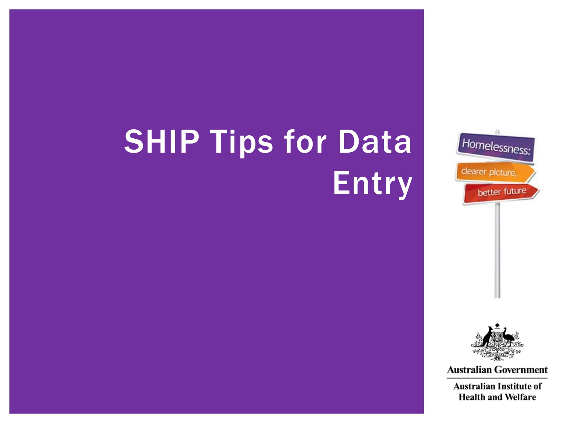# **SHIP Tips for Data Entry**





**Australian Government** 

**Australian Institute of Health and Welfare**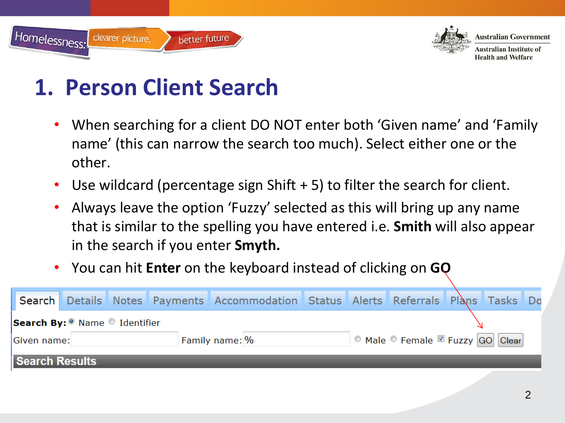



**Health and Welfare** 

#### **1. Person Client Search**

- When searching for a client DO NOT enter both 'Given name' and 'Family name' (this can narrow the search too much). Select either one or the other.
- Use wildcard (percentage sign Shift + 5) to filter the search for client.
- Always leave the option 'Fuzzy' selected as this will bring up any name that is similar to the spelling you have entered i.e. **Smith** will also appear in the search if you enter **Smyth.**
- You can hit **Enter** on the keyboard instead of clicking on **GO**

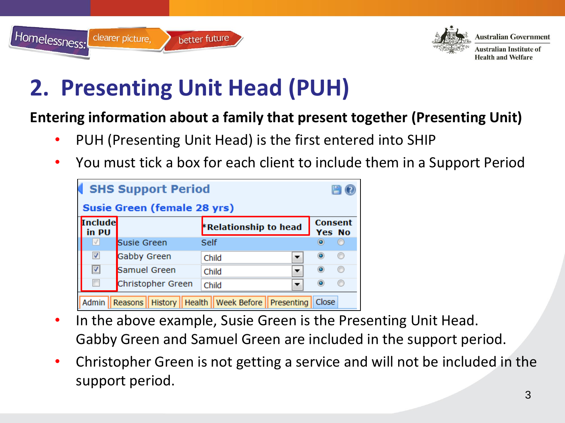



**Australian Institute of Health and Welfare** 

## **2. Presenting Unit Head (PUH)**

#### **Entering information about a family that present together (Presenting Unit)**

- PUH (Presenting Unit Head) is the first entered into SHIP
- You must tick a box for each client to include them in a Support Period



- In the above example, Susie Green is the Presenting Unit Head. Gabby Green and Samuel Green are included in the support period.
- Christopher Green is not getting a service and will not be included in the support period.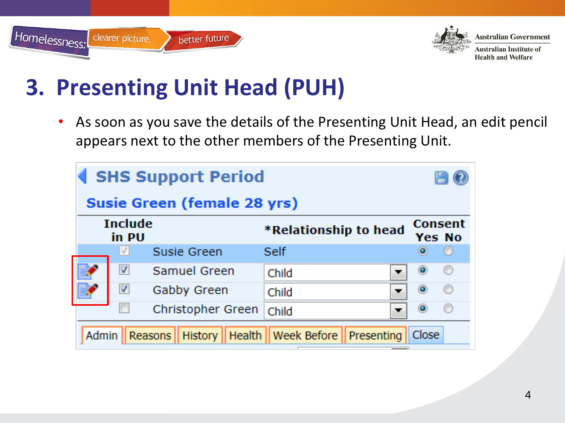



**Australian Institute of Health and Welfare** 

### **3. Presenting Unit Head (PUH)**

• As soon as you save the details of the Presenting Unit Head, an edit pencil appears next to the other members of the Presenting Unit.

| <b>SHS Support Period</b>   |                          |                              |                                 |                          |  |  |
|-----------------------------|--------------------------|------------------------------|---------------------------------|--------------------------|--|--|
| Susie Green (female 28 yrs) |                          |                              |                                 |                          |  |  |
|                             | <b>Include</b><br>in PU  |                              | *Relationship to head           | <b>Consent</b><br>Yes No |  |  |
|                             | $\mathcal{J}$            | Susie Green                  | Self                            | O                        |  |  |
|                             | $\overline{\mathbf{v}}$  | Samuel Green                 | Child                           | O                        |  |  |
|                             | $\overline{\mathcal{A}}$ | Gabby Green                  | Child                           | ◉                        |  |  |
|                             | F                        | Christopher Green            | Child                           | O                        |  |  |
| <b>Admin</b>                |                          | Reasons    History    Health | <b>Week Before   Presenting</b> | Close                    |  |  |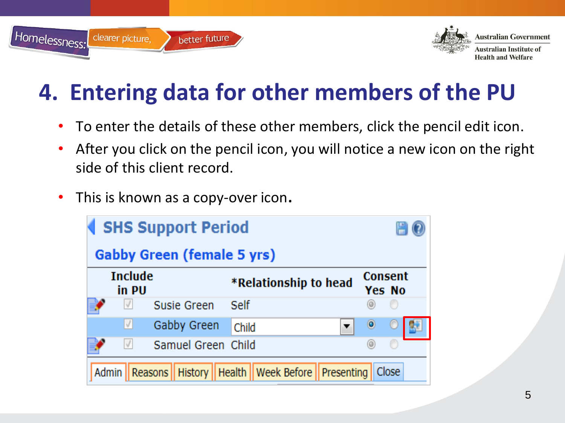



Australian Government **Australian Institute of** 

### **4. Entering data for other members of the PU**

- To enter the details of these other members, click the pencil edit icon.
- After you click on the pencil icon, you will notice a new icon on the right side of this client record.
- This is known as a copy-over icon.

| <b>SHS Support Period</b><br><b>Gabby Green (female 5 yrs)</b> |                                                           |                          |  |  |
|----------------------------------------------------------------|-----------------------------------------------------------|--------------------------|--|--|
| <b>Include</b><br>in PU                                        | *Relationship to head                                     | <b>Consent</b><br>Yes No |  |  |
| $\cal{J}$<br>Susie Green                                       | Self                                                      | O                        |  |  |
| $\sqrt{}$<br>Gabby Green                                       | Child<br>▼                                                |                          |  |  |
| $\sqrt{ }$<br>Samuel Green Child                               |                                                           |                          |  |  |
| <b>Admin</b>                                                   | Reasons    History    Health    Week Before    Presenting | Close                    |  |  |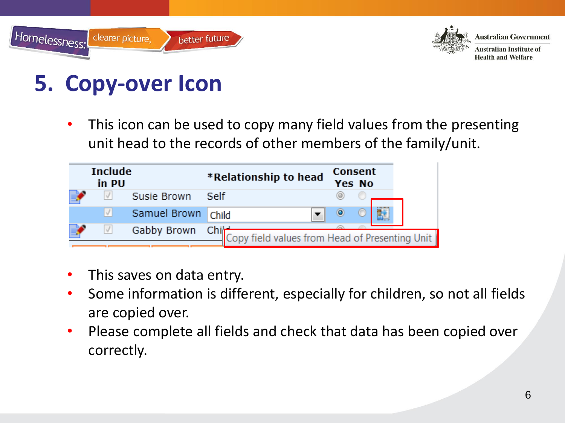



Australian Institute of **Health and Welfare** 

#### **5. Copy-over Icon**

• This icon can be used to copy many field values from the presenting unit head to the records of other members of the family/unit.



- This saves on data entry.
- Some information is different, especially for children, so not all fields are copied over.
- Please complete all fields and check that data has been copied over correctly.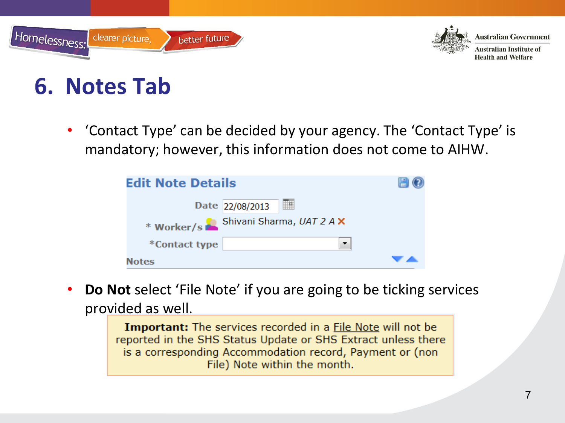



**Australian Institute of Health and Welfare** 

#### **6. Notes Tab**

• 'Contact Type' can be decided by your agency. The 'Contact Type' is mandatory; however, this information does not come to AIHW.

| <b>Edit Note Details</b> |                                      |  |
|--------------------------|--------------------------------------|--|
|                          | 讍<br>Date 22/08/2013                 |  |
|                          | * Worker/s Shivani Sharma, UAT 2 A X |  |
| *Contact type            | $\bullet$                            |  |
| <b>Notes</b>             |                                      |  |

• **Do Not** select 'File Note' if you are going to be ticking services provided as well.

> **Important:** The services recorded in a File Note will not be reported in the SHS Status Update or SHS Extract unless there is a corresponding Accommodation record, Payment or (non File) Note within the month.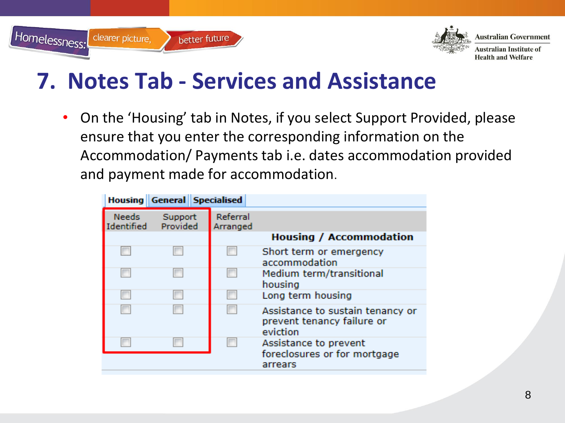



**Australian Institute of Health and Welfare** 

#### **7. Notes Tab - Services and Assistance**

• On the 'Housing' tab in Notes, if you select Support Provided, please ensure that you enter the corresponding information on the Accommodation/ Payments tab i.e. dates accommodation provided and payment made for accommodation.

|                            | <b>Housing General Specialised</b> |                      |                                                                            |
|----------------------------|------------------------------------|----------------------|----------------------------------------------------------------------------|
| <b>Needs</b><br>Identified | Support<br>Provided                | Referral<br>Arranged |                                                                            |
|                            |                                    |                      | <b>Housing / Accommodation</b>                                             |
|                            |                                    |                      | Short term or emergency<br>accommodation                                   |
|                            |                                    |                      | Medium term/transitional<br>housing                                        |
|                            |                                    |                      | Long term housing                                                          |
|                            |                                    |                      | Assistance to sustain tenancy or<br>prevent tenancy failure or<br>eviction |
|                            |                                    |                      | Assistance to prevent<br>foreclosures or for mortgage<br>arrears           |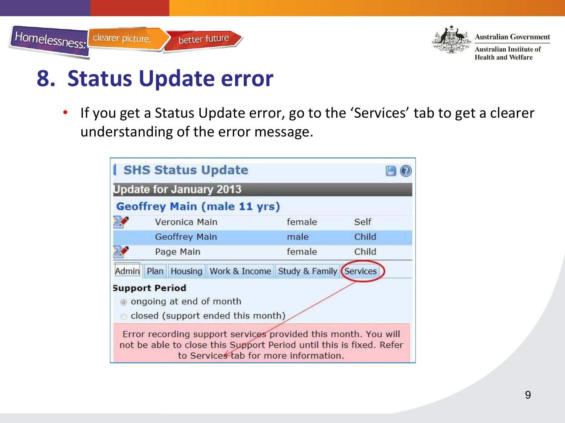



#### **8. Status Update error**

• If you get a Status Update error, go to the 'Services' tab to get a clearer understanding of the error message.

|       | <b>SHS Status Update</b>                           |                                                                                                         |        |                                                                     |
|-------|----------------------------------------------------|---------------------------------------------------------------------------------------------------------|--------|---------------------------------------------------------------------|
|       | <b>Update for January 2013</b>                     |                                                                                                         |        |                                                                     |
|       |                                                    | <b>Geoffrey Main (male 11 yrs)</b>                                                                      |        |                                                                     |
|       | Veronica Main                                      |                                                                                                         | female | Self                                                                |
|       | <b>Geoffrey Main</b>                               |                                                                                                         | male   | Child                                                               |
|       | Page Main                                          |                                                                                                         | female | Child                                                               |
| Admin | Plan                                               | Housing   Work & Income   Study & Family (Services                                                      |        |                                                                     |
|       | <b>Support Period</b><br>◎ ongoing at end of month | closed (support ended this month)                                                                       |        |                                                                     |
|       |                                                    | Error recording support services provided this month. You will<br>to Services tab for more information. |        | not be able to close this Support Period until this is fixed. Refer |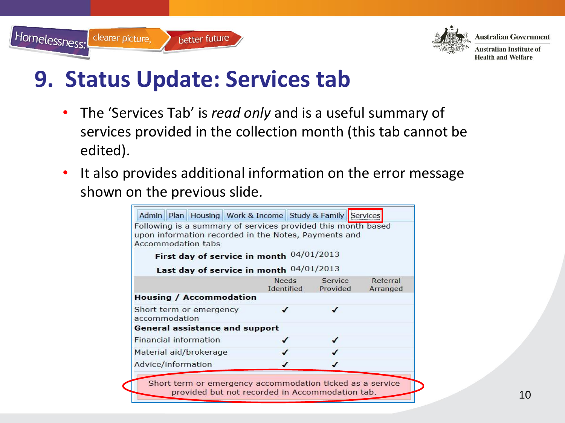



Australian Institute of **Health and Welfare** 

#### **9. Status Update: Services tab**

- The 'Services Tab' is *read only* and is a useful summary of services provided in the collection month (this tab cannot be edited).
- It also provides additional information on the error message shown on the previous slide.

| Following is a summary of services provided this month based<br>upon information recorded in the Notes, Payments and<br>Accommodation tabs |                     |                     |                      |
|--------------------------------------------------------------------------------------------------------------------------------------------|---------------------|---------------------|----------------------|
| First day of service in month 04/01/2013                                                                                                   |                     |                     |                      |
| Last day of service in month 04/01/2013                                                                                                    |                     |                     |                      |
|                                                                                                                                            | Needs<br>Identified | Service<br>Provided | Referral<br>Arranged |
| <b>Housing / Accommodation</b>                                                                                                             |                     |                     |                      |
| Short term or emergency<br>accommodation                                                                                                   |                     | ✓                   |                      |
| General assistance and support                                                                                                             |                     |                     |                      |
| Financial information                                                                                                                      |                     |                     |                      |
| Material aid/brokerage                                                                                                                     | ✓                   |                     |                      |
| Advice/information                                                                                                                         |                     |                     |                      |